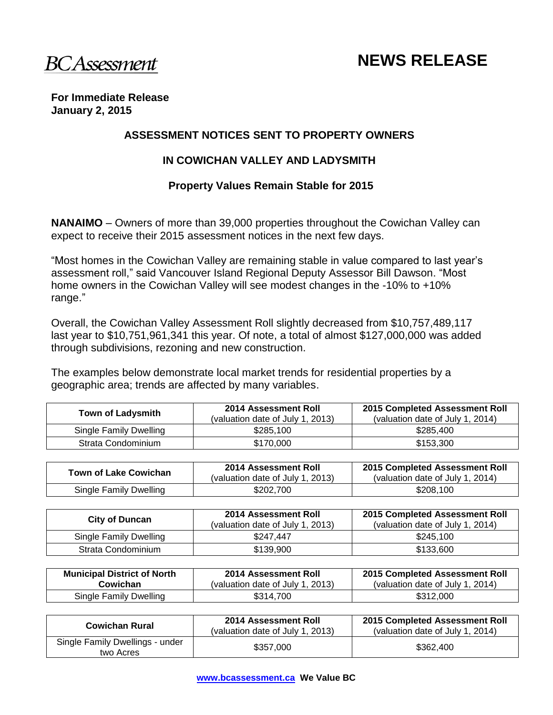**BCAssessment** 

# **NEWS RELEASE**

#### **For Immediate Release January 2, 2015**

## **ASSESSMENT NOTICES SENT TO PROPERTY OWNERS**

## **IN COWICHAN VALLEY AND LADYSMITH**

## **Property Values Remain Stable for 2015**

**NANAIMO** – Owners of more than 39,000 properties throughout the Cowichan Valley can expect to receive their 2015 assessment notices in the next few days.

"Most homes in the Cowichan Valley are remaining stable in value compared to last year's assessment roll," said Vancouver Island Regional Deputy Assessor Bill Dawson. "Most home owners in the Cowichan Valley will see modest changes in the -10% to +10% range."

Overall, the Cowichan Valley Assessment Roll slightly decreased from \$10,757,489,117 last year to \$10,751,961,341 this year. Of note, a total of almost \$127,000,000 was added through subdivisions, rezoning and new construction.

The examples below demonstrate local market trends for residential properties by a geographic area; trends are affected by many variables.

| <b>Town of Ladysmith</b> | 2014 Assessment Roll<br>(valuation date of July 1, 2013) | 2015 Completed Assessment Roll<br>(valuation date of July 1, 2014) |
|--------------------------|----------------------------------------------------------|--------------------------------------------------------------------|
| Single Family Dwelling   | \$285.100                                                | \$285,400                                                          |
| Strata Condominium       | \$170,000                                                | \$153,300                                                          |

| Town of Lake Cowichan  | 2014 Assessment Roll<br>(valuation date of July 1, 2013) | 2015 Completed Assessment Roll<br>(valuation date of July 1, 2014) |
|------------------------|----------------------------------------------------------|--------------------------------------------------------------------|
| Single Family Dwelling | \$202,700                                                | \$208,100                                                          |

| <b>City of Duncan</b>  | 2014 Assessment Roll<br>(valuation date of July 1, 2013) | 2015 Completed Assessment Roll<br>(valuation date of July 1, 2014) |
|------------------------|----------------------------------------------------------|--------------------------------------------------------------------|
| Single Family Dwelling | \$247.447                                                | \$245,100                                                          |
| Strata Condominium     | \$139,900                                                | \$133,600                                                          |

| <b>Municipal District of North</b> | <b>2014 Assessment Roll</b>      | 2015 Completed Assessment Roll   |
|------------------------------------|----------------------------------|----------------------------------|
| Cowichan                           | (valuation date of July 1, 2013) | (valuation date of July 1, 2014) |
| Single Family Dwelling             | \$314,700                        | \$312,000                        |

| <b>Cowichan Rural</b>                        | 2014 Assessment Roll<br>(valuation date of July 1, 2013) | 2015 Completed Assessment Roll<br>(valuation date of July 1, 2014) |
|----------------------------------------------|----------------------------------------------------------|--------------------------------------------------------------------|
| Single Family Dwellings - under<br>two Acres | \$357,000                                                | \$362,400                                                          |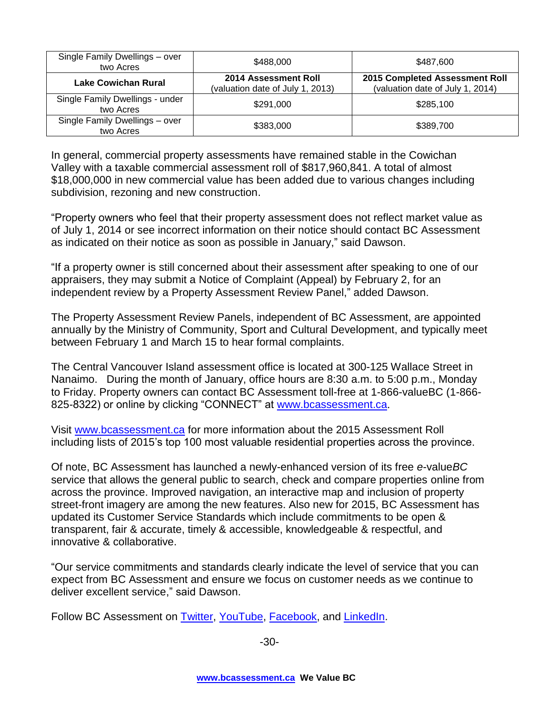| Single Family Dwellings - over<br>two Acres  | \$488,000                                                | \$487,600                                                          |
|----------------------------------------------|----------------------------------------------------------|--------------------------------------------------------------------|
| <b>Lake Cowichan Rural</b>                   | 2014 Assessment Roll<br>(valuation date of July 1, 2013) | 2015 Completed Assessment Roll<br>(valuation date of July 1, 2014) |
| Single Family Dwellings - under<br>two Acres | \$291,000                                                | \$285,100                                                          |
| Single Family Dwellings - over<br>two Acres  | \$383,000                                                | \$389,700                                                          |

In general, commercial property assessments have remained stable in the Cowichan Valley with a taxable commercial assessment roll of \$817,960,841. A total of almost \$18,000,000 in new commercial value has been added due to various changes including subdivision, rezoning and new construction.

"Property owners who feel that their property assessment does not reflect market value as of July 1, 2014 or see incorrect information on their notice should contact BC Assessment as indicated on their notice as soon as possible in January," said Dawson.

"If a property owner is still concerned about their assessment after speaking to one of our appraisers, they may submit a Notice of Complaint (Appeal) by February 2, for an independent review by a Property Assessment Review Panel," added Dawson.

The Property Assessment Review Panels, independent of BC Assessment, are appointed annually by the Ministry of Community, Sport and Cultural Development, and typically meet between February 1 and March 15 to hear formal complaints.

The Central Vancouver Island assessment office is located at 300-125 Wallace Street in Nanaimo. During the month of January, office hours are 8:30 a.m. to 5:00 p.m., Monday to Friday. Property owners can contact BC Assessment toll-free at 1-866-valueBC (1-866 825-8322) or online by clicking "CONNECT" at [www.bcassessment.ca](http://www.bcassessment.ca/).

Visit [www.bcassessment.ca](http://www.bcassessment.ca/) for more information about the 2015 Assessment Roll including lists of 2015's top 100 most valuable residential properties across the province.

Of note, BC Assessment has launched a newly-enhanced version of its free *e*-value*BC*  service that allows the general public to search, check and compare properties online from across the province. Improved navigation, an interactive map and inclusion of property street-front imagery are among the new features. Also new for 2015, BC Assessment has updated its Customer Service Standards which include commitments to be open & transparent, fair & accurate, timely & accessible, knowledgeable & respectful, and innovative & collaborative.

"Our service commitments and standards clearly indicate the level of service that you can expect from BC Assessment and ensure we focus on customer needs as we continue to deliver excellent service," said Dawson.

Follow BC Assessment on [Twitter,](http://twitter.com/bcassessment) [YouTube,](http://www.youtube.com/user/BCAssessmentVideos) [Facebook,](http://www.facebook.com/pages/BC-Assessment/168042796561277?sk=info) and [LinkedIn.](http://www.linkedin.com/company/bc-assessment)